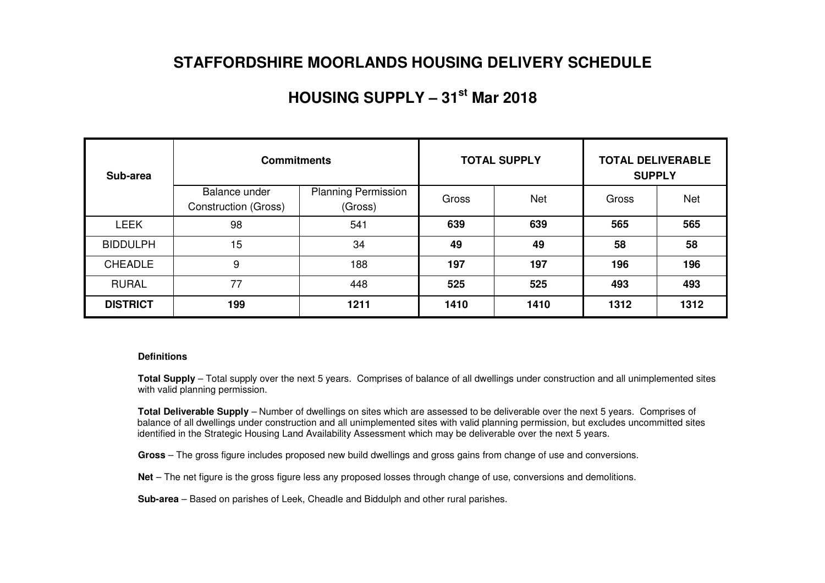### **STAFFORDSHIRE MOORLANDS HOUSING DELIVERY SCHEDULE**

## **HOUSING SUPPLY – 31st Mar 2018**

| Sub-area        | <b>Commitments</b>                           |                                       |       | <b>TOTAL SUPPLY</b> | <b>TOTAL DELIVERABLE</b><br><b>SUPPLY</b> |            |  |
|-----------------|----------------------------------------------|---------------------------------------|-------|---------------------|-------------------------------------------|------------|--|
|                 | Balance under<br><b>Construction (Gross)</b> | <b>Planning Permission</b><br>(Gross) | Gross | <b>Net</b>          | Gross                                     | <b>Net</b> |  |
| <b>LEEK</b>     | 98                                           | 541                                   | 639   | 639                 | 565                                       | 565        |  |
| <b>BIDDULPH</b> | 15                                           | 34                                    | 49    | 49                  | 58                                        | 58         |  |
| <b>CHEADLE</b>  | 9                                            | 188                                   | 197   | 197                 | 196                                       | 196        |  |
| <b>RURAL</b>    | 77                                           | 448                                   | 525   | 525                 | 493                                       | 493        |  |
| <b>DISTRICT</b> | 199                                          | 1211                                  | 1410  | 1410                | 1312                                      | 1312       |  |

#### **Definitions**

**Total Supply** – Total supply over the next 5 years. Comprises of balance of all dwellings under construction and all unimplemented sites with valid planning permission.

**Total Deliverable Supply** – Number of dwellings on sites which are assessed to be deliverable over the next 5 years. Comprises of balance of all dwellings under construction and all unimplemented sites with valid planning permission, but excludes uncommitted sites identified in the Strategic Housing Land Availability Assessment which may be deliverable over the next 5 years.

**Gross** – The gross figure includes proposed new build dwellings and gross gains from change of use and conversions.

**Net** – The net figure is the gross figure less any proposed losses through change of use, conversions and demolitions.

**Sub-area** – Based on parishes of Leek, Cheadle and Biddulph and other rural parishes.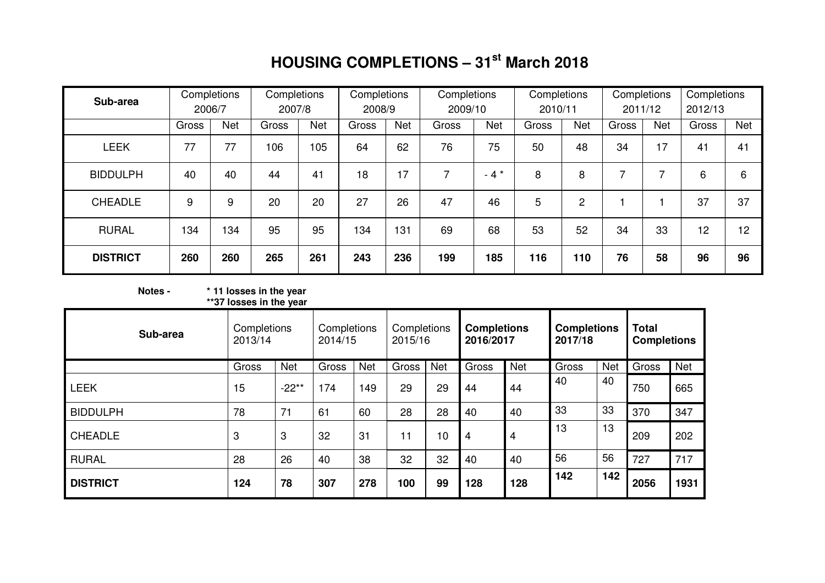# **HOUSING COMPLETIONS – 31st March 2018**

| Sub-area        | Completions<br>2006/7 |     | Completions<br>2007/8 |            | Completions<br>2008/9 |            | Completions<br>2009/10 |        | Completions<br>2010/11 |                | Completions<br>2011/12 |            | Completions<br>2012/13 |            |
|-----------------|-----------------------|-----|-----------------------|------------|-----------------------|------------|------------------------|--------|------------------------|----------------|------------------------|------------|------------------------|------------|
|                 | <b>Net</b><br>Gross   |     | Gross                 | <b>Net</b> | Gross                 | <b>Net</b> | Gross                  | Net    | Gross                  | Net            | Gross                  | <b>Net</b> | Gross                  | <b>Net</b> |
| <b>LEEK</b>     | 77                    | 77  | 106                   | 105        | 64                    | 62         | 76                     | 75     | 50                     | 48             | 34                     | 17         | 41                     | 41         |
| <b>BIDDULPH</b> | 40                    | 40  | 44                    | 41         | 18                    | 17         | 7                      | $-4$ * | 8                      | 8              | ⇁                      | 7          | 6                      | 6          |
| <b>CHEADLE</b>  | 9                     | 9   | 20                    | 20         | 27                    | 26         | 47                     | 46     | 5                      | $\overline{2}$ |                        |            | 37                     | 37         |
| <b>RURAL</b>    | 134                   | 134 | 95                    | 95         | 134                   | 131        | 69                     | 68     | 53                     | 52             | 34                     | 33         | 12                     | 12         |
| <b>DISTRICT</b> | 260                   | 260 | 265                   | 261        | 243                   | 236        | 199                    | 185    | 116                    | 110            | 76                     | 58         | 96                     | 96         |

## **Notes - \* 11 losses in the year \*\*37 losses in the year**

| Sub-area        | Completions<br>2013/14 |            | Completions<br>2014/15 |            | Completions<br>2015/16 |            | <b>Completions</b><br>2016/2017 |                | <b>Completions</b><br>2017/18 |            | <b>Total</b><br><b>Completions</b> |            |
|-----------------|------------------------|------------|------------------------|------------|------------------------|------------|---------------------------------|----------------|-------------------------------|------------|------------------------------------|------------|
|                 | Gross                  | <b>Net</b> | Gross                  | <b>Net</b> | Gross                  | <b>Net</b> | Gross                           | <b>Net</b>     | Gross                         | <b>Net</b> | Gross                              | <b>Net</b> |
| <b>LEEK</b>     | 15                     | $-22**$    | 174                    | 149        | 29                     | 29         | 44                              | 44             | 40                            | 40         | 750                                | 665        |
| <b>BIDDULPH</b> | 78                     | 71         | 61                     | 60         | 28                     | 28         | 40                              | 40             | 33                            | 33         | 370                                | 347        |
| <b>CHEADLE</b>  | 3                      | 3          | 32                     | 31         | 11                     | 10         | 4                               | $\overline{4}$ | 13                            | 13         | 209                                | 202        |
| <b>RURAL</b>    | 28                     | 26         | 40                     | 38         | 32                     | 32         | 40                              | 40             | 56                            | 56         | 727                                | 717        |
| <b>DISTRICT</b> | 124                    | 78         | 307                    | 278        | 100                    | 99         | 128                             | 128            | 142                           | 142        | 2056                               | 1931       |